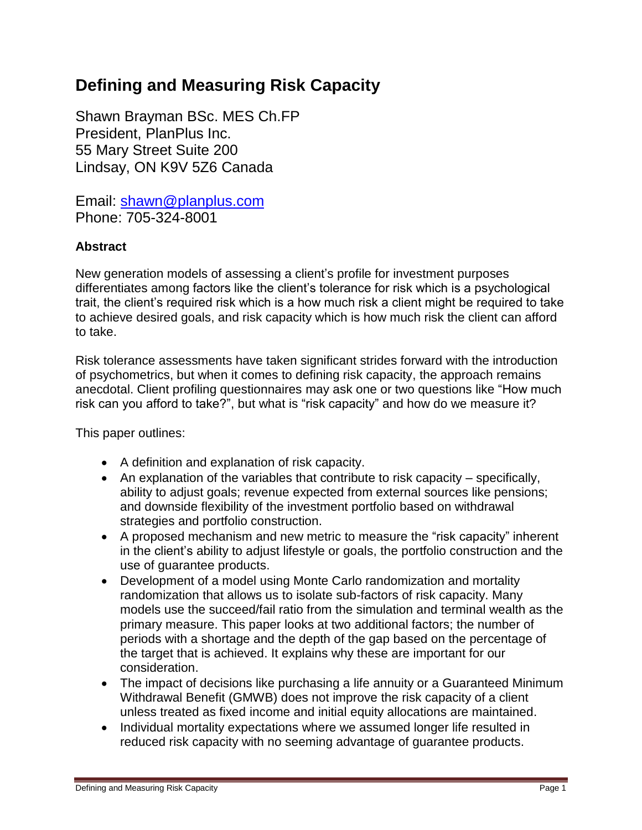# **Defining and Measuring Risk Capacity**

Shawn Brayman BSc. MES Ch.FP President, PlanPlus Inc. 55 Mary Street Suite 200 Lindsay, ON K9V 5Z6 Canada

Email: [shawn@planplus.com](mailto:shawn@planplus.com) Phone: 705-324-8001

# **Abstract**

New generation models of assessing a client's profile for investment purposes differentiates among factors like the client's tolerance for risk which is a psychological trait, the client's required risk which is a how much risk a client might be required to take to achieve desired goals, and risk capacity which is how much risk the client can afford to take.

Risk tolerance assessments have taken significant strides forward with the introduction of psychometrics, but when it comes to defining risk capacity, the approach remains anecdotal. Client profiling questionnaires may ask one or two questions like "How much risk can you afford to take?", but what is "risk capacity" and how do we measure it?

This paper outlines:

- A definition and explanation of risk capacity.
- An explanation of the variables that contribute to risk capacity specifically, ability to adjust goals; revenue expected from external sources like pensions; and downside flexibility of the investment portfolio based on withdrawal strategies and portfolio construction.
- A proposed mechanism and new metric to measure the "risk capacity" inherent in the client's ability to adjust lifestyle or goals, the portfolio construction and the use of guarantee products.
- Development of a model using Monte Carlo randomization and mortality randomization that allows us to isolate sub-factors of risk capacity. Many models use the succeed/fail ratio from the simulation and terminal wealth as the primary measure. This paper looks at two additional factors; the number of periods with a shortage and the depth of the gap based on the percentage of the target that is achieved. It explains why these are important for our consideration.
- The impact of decisions like purchasing a life annuity or a Guaranteed Minimum Withdrawal Benefit (GMWB) does not improve the risk capacity of a client unless treated as fixed income and initial equity allocations are maintained.
- Individual mortality expectations where we assumed longer life resulted in reduced risk capacity with no seeming advantage of guarantee products.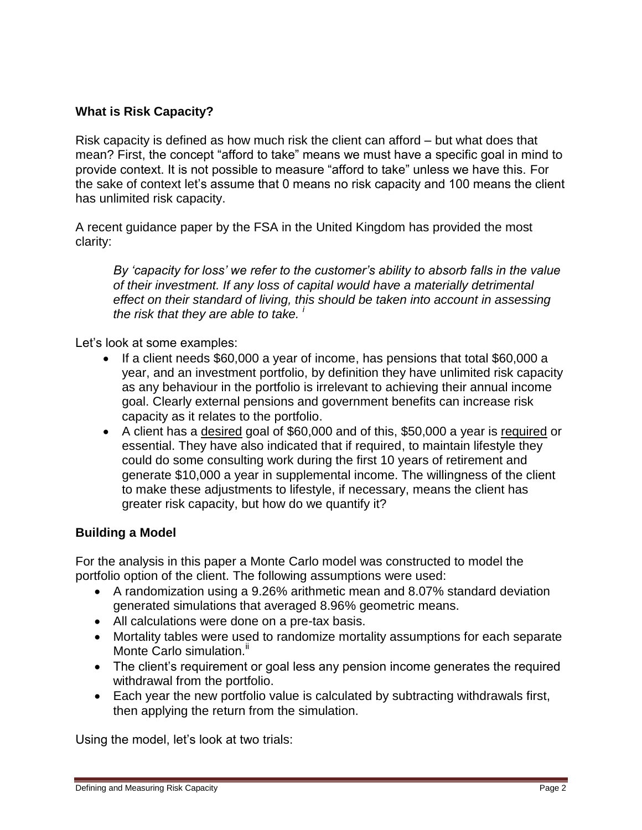# **What is Risk Capacity?**

Risk capacity is defined as how much risk the client can afford – but what does that mean? First, the concept "afford to take" means we must have a specific goal in mind to provide context. It is not possible to measure "afford to take" unless we have this. For the sake of context let's assume that 0 means no risk capacity and 100 means the client has unlimited risk capacity.

A recent guidance paper by the FSA in the United Kingdom has provided the most clarity:

*By "capacity for loss" we refer to the customer"s ability to absorb falls in the value of their investment. If any loss of capital would have a materially detrimental effect on their standard of living, this should be taken into account in assessing the risk that they are able to take. <sup>i</sup>* 

Let's look at some examples:

- If a client needs \$60,000 a year of income, has pensions that total \$60,000 a year, and an investment portfolio, by definition they have unlimited risk capacity as any behaviour in the portfolio is irrelevant to achieving their annual income goal. Clearly external pensions and government benefits can increase risk capacity as it relates to the portfolio.
- A client has a desired goal of \$60,000 and of this, \$50,000 a year is required or essential. They have also indicated that if required, to maintain lifestyle they could do some consulting work during the first 10 years of retirement and generate \$10,000 a year in supplemental income. The willingness of the client to make these adjustments to lifestyle, if necessary, means the client has greater risk capacity, but how do we quantify it?

### **Building a Model**

For the analysis in this paper a Monte Carlo model was constructed to model the portfolio option of the client. The following assumptions were used:

- A randomization using a 9.26% arithmetic mean and 8.07% standard deviation generated simulations that averaged 8.96% geometric means.
- All calculations were done on a pre-tax basis.
- Mortality tables were used to randomize mortality assumptions for each separate Monte Carlo simulation."
- The client's requirement or goal less any pension income generates the required withdrawal from the portfolio.
- Each year the new portfolio value is calculated by subtracting withdrawals first, then applying the return from the simulation.

Using the model, let's look at two trials: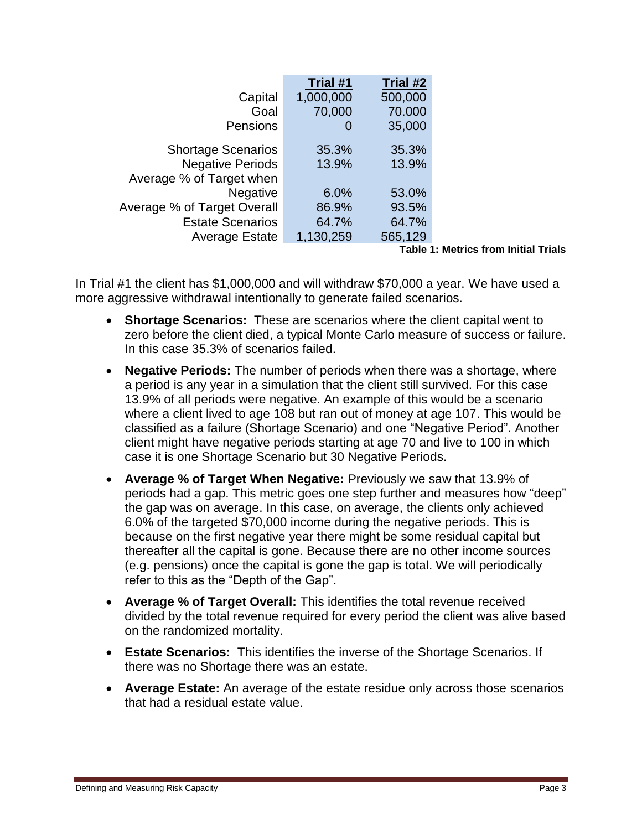|                             | Trial #1  | Trial #2 |
|-----------------------------|-----------|----------|
| Capital                     | 1,000,000 | 500,000  |
| Goal                        | 70,000    | 70.000   |
| Pensions                    | O         | 35,000   |
| <b>Shortage Scenarios</b>   | 35.3%     | 35.3%    |
| <b>Negative Periods</b>     | 13.9%     | 13.9%    |
| Average % of Target when    |           |          |
| <b>Negative</b>             | 6.0%      | 53.0%    |
| Average % of Target Overall | 86.9%     | 93.5%    |
| <b>Estate Scenarios</b>     | 64.7%     | 64.7%    |
| <b>Average Estate</b>       | 1,130,259 | 565,129  |

**Table 1: Metrics from Initial Trials**

In Trial #1 the client has \$1,000,000 and will withdraw \$70,000 a year. We have used a more aggressive withdrawal intentionally to generate failed scenarios.

- **Shortage Scenarios:** These are scenarios where the client capital went to zero before the client died, a typical Monte Carlo measure of success or failure. In this case 35.3% of scenarios failed.
- **Negative Periods:** The number of periods when there was a shortage, where a period is any year in a simulation that the client still survived. For this case 13.9% of all periods were negative. An example of this would be a scenario where a client lived to age 108 but ran out of money at age 107. This would be classified as a failure (Shortage Scenario) and one "Negative Period". Another client might have negative periods starting at age 70 and live to 100 in which case it is one Shortage Scenario but 30 Negative Periods.
- **Average % of Target When Negative:** Previously we saw that 13.9% of periods had a gap. This metric goes one step further and measures how "deep" the gap was on average. In this case, on average, the clients only achieved 6.0% of the targeted \$70,000 income during the negative periods. This is because on the first negative year there might be some residual capital but thereafter all the capital is gone. Because there are no other income sources (e.g. pensions) once the capital is gone the gap is total. We will periodically refer to this as the "Depth of the Gap".
- **Average % of Target Overall:** This identifies the total revenue received divided by the total revenue required for every period the client was alive based on the randomized mortality.
- **Estate Scenarios:** This identifies the inverse of the Shortage Scenarios. If there was no Shortage there was an estate.
- **Average Estate:** An average of the estate residue only across those scenarios that had a residual estate value.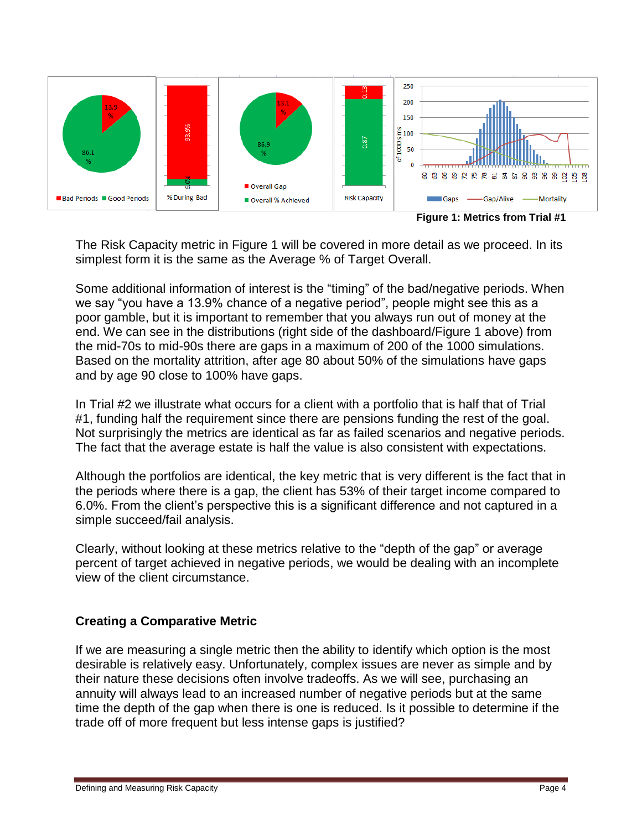

**Figure 1: Metrics from Trial #1**

The Risk Capacity metric in Figure 1 will be covered in more detail as we proceed. In its simplest form it is the same as the Average % of Target Overall.

Some additional information of interest is the "timing" of the bad/negative periods. When we say "you have a 13.9% chance of a negative period", people might see this as a poor gamble, but it is important to remember that you always run out of money at the end. We can see in the distributions (right side of the dashboard/Figure 1 above) from the mid-70s to mid-90s there are gaps in a maximum of 200 of the 1000 simulations. Based on the mortality attrition, after age 80 about 50% of the simulations have gaps and by age 90 close to 100% have gaps.

In Trial #2 we illustrate what occurs for a client with a portfolio that is half that of Trial #1, funding half the requirement since there are pensions funding the rest of the goal. Not surprisingly the metrics are identical as far as failed scenarios and negative periods. The fact that the average estate is half the value is also consistent with expectations.

Although the portfolios are identical, the key metric that is very different is the fact that in the periods where there is a gap, the client has 53% of their target income compared to 6.0%. From the client's perspective this is a significant difference and not captured in a simple succeed/fail analysis.

Clearly, without looking at these metrics relative to the "depth of the gap" or average percent of target achieved in negative periods, we would be dealing with an incomplete view of the client circumstance.

# **Creating a Comparative Metric**

If we are measuring a single metric then the ability to identify which option is the most desirable is relatively easy. Unfortunately, complex issues are never as simple and by their nature these decisions often involve tradeoffs. As we will see, purchasing an annuity will always lead to an increased number of negative periods but at the same time the depth of the gap when there is one is reduced. Is it possible to determine if the trade off of more frequent but less intense gaps is justified?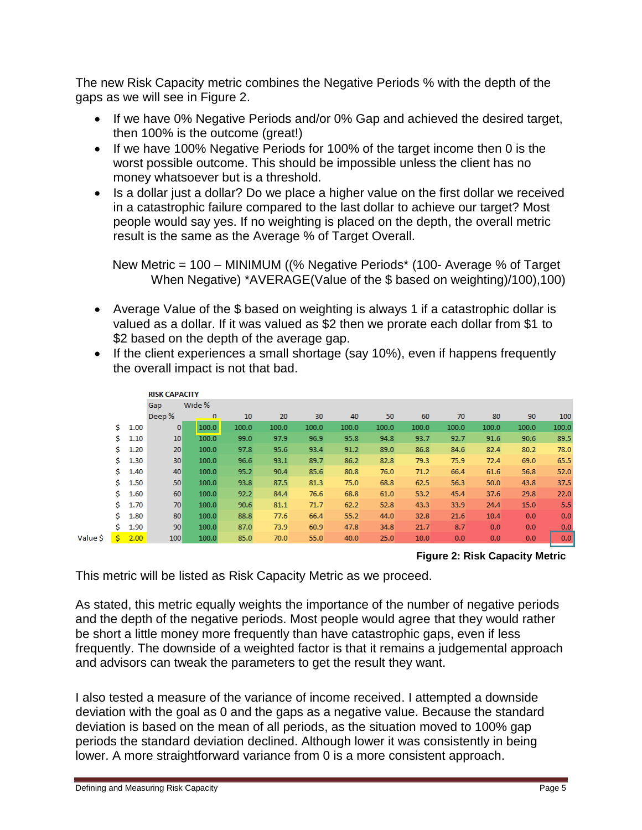The new Risk Capacity metric combines the Negative Periods % with the depth of the gaps as we will see in Figure 2.

- If we have 0% Negative Periods and/or 0% Gap and achieved the desired target, then 100% is the outcome (great!)
- If we have 100% Negative Periods for 100% of the target income then 0 is the worst possible outcome. This should be impossible unless the client has no money whatsoever but is a threshold.
- Is a dollar just a dollar? Do we place a higher value on the first dollar we received in a catastrophic failure compared to the last dollar to achieve our target? Most people would say yes. If no weighting is placed on the depth, the overall metric result is the same as the Average % of Target Overall.

New Metric = 100 – MINIMUM ((% Negative Periods\* (100- Average % of Target When Negative) \*AVERAGE(Value of the \$ based on weighting)/100),100)

- Average Value of the \$ based on weighting is always 1 if a catastrophic dollar is valued as a dollar. If it was valued as \$2 then we prorate each dollar from \$1 to \$2 based on the depth of the average gap.
- If the client experiences a small shortage (say 10%), even if happens frequently the overall impact is not that bad.

|          |    |      | <b>RISK CAPACITY</b> |          |       |       |       |       |       |       |       |       |       |       |  |
|----------|----|------|----------------------|----------|-------|-------|-------|-------|-------|-------|-------|-------|-------|-------|--|
|          |    |      | Wide %<br>Gap        |          |       |       |       |       |       |       |       |       |       |       |  |
|          |    |      | Deep %               | $\Omega$ | 10    | 20    | 30    | 40    | 50    | 60    | 70    | 80    | 90    | 100   |  |
|          | Ŝ. | 1.00 | $\bf{0}$             | 100.0    | 100.0 | 100.0 | 100.0 | 100.0 | 100.0 | 100.0 | 100.0 | 100.0 | 100.0 | 100.0 |  |
|          | Ŝ. | 1.10 | 10                   | 100.0    | 99.0  | 97.9  | 96.9  | 95.8  | 94.8  | 93.7  | 92.7  | 91.6  | 90.6  | 89.5  |  |
|          | Ŝ. | 1.20 | 20                   | 100.0    | 97.8  | 95.6  | 93.4  | 91.2  | 89.0  | 86.8  | 84.6  | 82.4  | 80.2  | 78.0  |  |
|          | Ŝ. | 1.30 | 30                   | 100.0    | 96.6  | 93.1  | 89.7  | 86.2  | 82.8  | 79.3  | 75.9  | 72.4  | 69.0  | 65.5  |  |
|          | Ŝ. | 1.40 | 40                   | 100.0    | 95.2  | 90.4  | 85.6  | 80.8  | 76.0  | 71.2  | 66.4  | 61.6  | 56.8  | 52.0  |  |
|          | Ŝ. | 1.50 | 50                   | 100.0    | 93.8  | 87.5  | 81.3  | 75.0  | 68.8  | 62.5  | 56.3  | 50.0  | 43.8  | 37.5  |  |
|          | Ŝ. | 1.60 | 60                   | 100.0    | 92.2  | 84.4  | 76.6  | 68.8  | 61.0  | 53.2  | 45.4  | 37.6  | 29.8  | 22.0  |  |
|          | Ŝ. | 1.70 | 70                   | 100.0    | 90.6  | 81.1  | 71.7  | 62.2  | 52.8  | 43.3  | 33.9  | 24.4  | 15.0  | 5.5   |  |
|          | Ŝ. | 1.80 | 80                   | 100.0    | 88.8  | 77.6  | 66.4  | 55.2  | 44.0  | 32.8  | 21.6  | 10.4  | 0.0   | 0.0   |  |
|          | Ś. | 1.90 | 90                   | 100.0    | 87.0  | 73.9  | 60.9  | 47.8  | 34.8  | 21.7  | 8.7   | 0.0   | 0.0   | 0.0   |  |
| Value \$ | Ŝ. | 2.00 | 100                  | 100.0    | 85.0  | 70.0  | 55.0  | 40.0  | 25.0  | 10.0  | 0.0   | 0.0   | 0.0   | 0.0   |  |

**Figure 2: Risk Capacity Metric**

This metric will be listed as Risk Capacity Metric as we proceed.

As stated, this metric equally weights the importance of the number of negative periods and the depth of the negative periods. Most people would agree that they would rather be short a little money more frequently than have catastrophic gaps, even if less frequently. The downside of a weighted factor is that it remains a judgemental approach and advisors can tweak the parameters to get the result they want.

I also tested a measure of the variance of income received. I attempted a downside deviation with the goal as 0 and the gaps as a negative value. Because the standard deviation is based on the mean of all periods, as the situation moved to 100% gap periods the standard deviation declined. Although lower it was consistently in being lower. A more straightforward variance from 0 is a more consistent approach.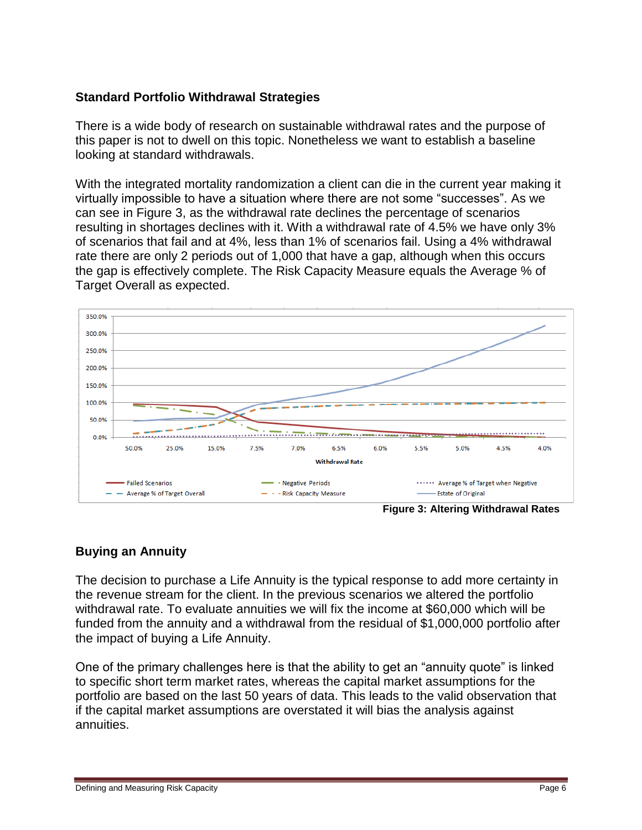### **Standard Portfolio Withdrawal Strategies**

There is a wide body of research on sustainable withdrawal rates and the purpose of this paper is not to dwell on this topic. Nonetheless we want to establish a baseline looking at standard withdrawals.

With the integrated mortality randomization a client can die in the current year making it virtually impossible to have a situation where there are not some "successes". As we can see in Figure 3, as the withdrawal rate declines the percentage of scenarios resulting in shortages declines with it. With a withdrawal rate of 4.5% we have only 3% of scenarios that fail and at 4%, less than 1% of scenarios fail. Using a 4% withdrawal rate there are only 2 periods out of 1,000 that have a gap, although when this occurs the gap is effectively complete. The Risk Capacity Measure equals the Average % of Target Overall as expected.



### **Buying an Annuity**

The decision to purchase a Life Annuity is the typical response to add more certainty in the revenue stream for the client. In the previous scenarios we altered the portfolio withdrawal rate. To evaluate annuities we will fix the income at \$60,000 which will be funded from the annuity and a withdrawal from the residual of \$1,000,000 portfolio after the impact of buying a Life Annuity.

One of the primary challenges here is that the ability to get an "annuity quote" is linked to specific short term market rates, whereas the capital market assumptions for the portfolio are based on the last 50 years of data. This leads to the valid observation that if the capital market assumptions are overstated it will bias the analysis against annuities.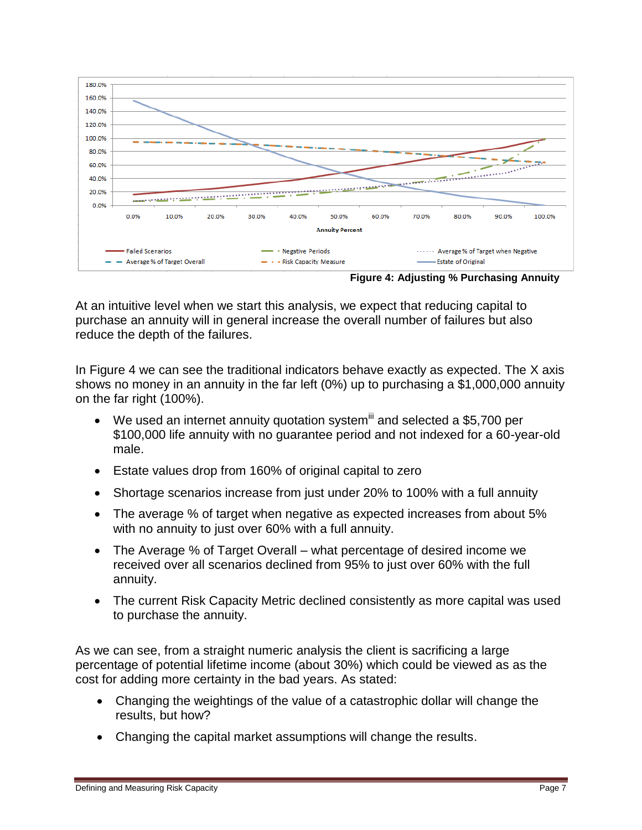

**Figure 4: Adjusting % Purchasing Annuity**

At an intuitive level when we start this analysis, we expect that reducing capital to purchase an annuity will in general increase the overall number of failures but also reduce the depth of the failures.

In Figure 4 we can see the traditional indicators behave exactly as expected. The X axis shows no money in an annuity in the far left (0%) up to purchasing a \$1,000,000 annuity on the far right (100%).

- $\bullet$  We used an internet annuity quotation system and selected a \$5,700 per \$100,000 life annuity with no guarantee period and not indexed for a 60-year-old male.
- Estate values drop from 160% of original capital to zero
- Shortage scenarios increase from just under 20% to 100% with a full annuity
- The average % of target when negative as expected increases from about 5% with no annuity to just over 60% with a full annuity.
- The Average % of Target Overall what percentage of desired income we received over all scenarios declined from 95% to just over 60% with the full annuity.
- The current Risk Capacity Metric declined consistently as more capital was used to purchase the annuity.

As we can see, from a straight numeric analysis the client is sacrificing a large percentage of potential lifetime income (about 30%) which could be viewed as as the cost for adding more certainty in the bad years. As stated:

- Changing the weightings of the value of a catastrophic dollar will change the results, but how?
- Changing the capital market assumptions will change the results.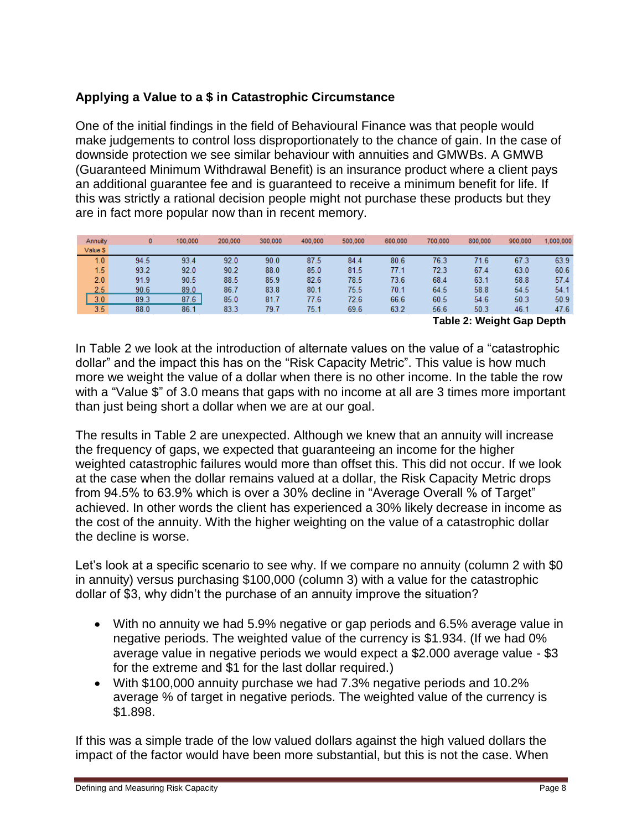# **Applying a Value to a \$ in Catastrophic Circumstance**

One of the initial findings in the field of Behavioural Finance was that people would make judgements to control loss disproportionately to the chance of gain. In the case of downside protection we see similar behaviour with annuities and GMWBs. A GMWB (Guaranteed Minimum Withdrawal Benefit) is an insurance product where a client pays an additional guarantee fee and is guaranteed to receive a minimum benefit for life. If this was strictly a rational decision people might not purchase these products but they are in fact more popular now than in recent memory.

| Annuity  | $\mathbf{0}$ | 100,000 | 200,000 | 300,000 | 400,000 | 500,000 | 600,000 | 700,000 | 800,000 | 900,000 | 1,000,000     |
|----------|--------------|---------|---------|---------|---------|---------|---------|---------|---------|---------|---------------|
| Value \$ |              |         |         |         |         |         |         |         |         |         |               |
| 1.0      | 94.5         | 93.4    | 92.0    | 90.0    | 87.5    | 84.4    | 80.6    | 76.3    | 71.6    | 67.3    | 63.9          |
| 1.5      | 93.2         | 92.0    | 90.2    | 88.0    | 85.0    | 81.5    | 77.1    | 72.3    | 67.4    | 63.0    | 60.6          |
| 2.0      | 91.9         | 90.5    | 88.5    | 85.9    | 82.6    | 78.5    | 73.6    | 68.4    | 63.1    | 58.8    | 57.4          |
| 2.5      | 90.6         | 89.0    | 86.7    | 83.8    | 80.1    | 75.5    | 70.1    | 64.5    | 58.8    | 54.5    | 54.1          |
| 3.0      | 89.3         | 87.6    | 85.0    | 81.7    | 77.6    | 72.6    | 66.6    | 60.5    | 54.6    | 50.3    | 50.9          |
| 3.5      | 88.0         | 86.1    | 83.3    | 79.7    | 75.1    | 69.6    | 63.2    | 56.6    | 50.3    | 46.1    | 47.6          |
|          |              |         |         |         |         |         |         |         | -       |         | $\sim$ $\sim$ |

**Table 2: Weight Gap Depth**

In Table 2 we look at the introduction of alternate values on the value of a "catastrophic dollar" and the impact this has on the "Risk Capacity Metric". This value is how much more we weight the value of a dollar when there is no other income. In the table the row with a "Value \$" of 3.0 means that gaps with no income at all are 3 times more important than just being short a dollar when we are at our goal.

The results in Table 2 are unexpected. Although we knew that an annuity will increase the frequency of gaps, we expected that guaranteeing an income for the higher weighted catastrophic failures would more than offset this. This did not occur. If we look at the case when the dollar remains valued at a dollar, the Risk Capacity Metric drops from 94.5% to 63.9% which is over a 30% decline in "Average Overall % of Target" achieved. In other words the client has experienced a 30% likely decrease in income as the cost of the annuity. With the higher weighting on the value of a catastrophic dollar the decline is worse.

Let's look at a specific scenario to see why. If we compare no annuity (column 2 with \$0 in annuity) versus purchasing \$100,000 (column 3) with a value for the catastrophic dollar of \$3, why didn't the purchase of an annuity improve the situation?

- With no annuity we had 5.9% negative or gap periods and 6.5% average value in negative periods. The weighted value of the currency is \$1.934. (If we had 0% average value in negative periods we would expect a \$2.000 average value - \$3 for the extreme and \$1 for the last dollar required.)
- With \$100,000 annuity purchase we had 7.3% negative periods and 10.2% average % of target in negative periods. The weighted value of the currency is \$1.898.

If this was a simple trade of the low valued dollars against the high valued dollars the impact of the factor would have been more substantial, but this is not the case. When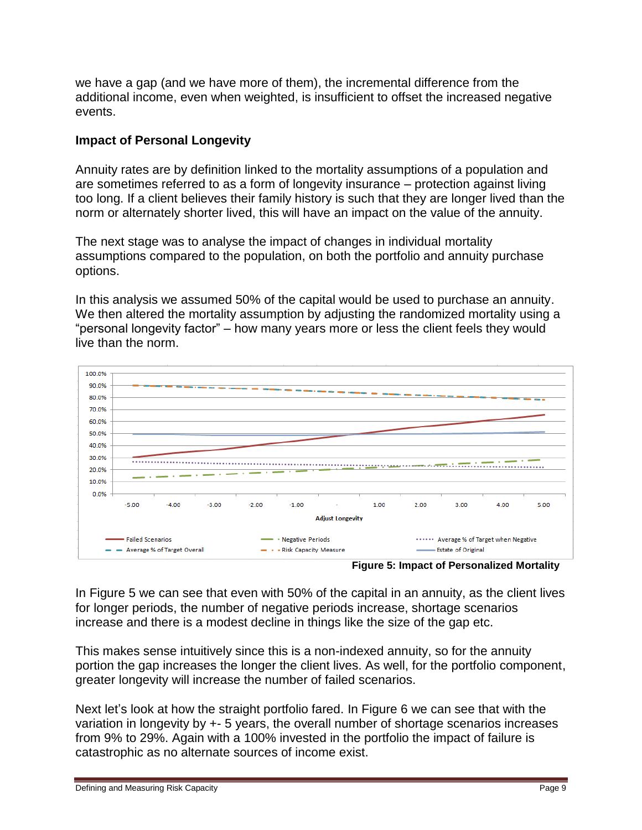we have a gap (and we have more of them), the incremental difference from the additional income, even when weighted, is insufficient to offset the increased negative events.

### **Impact of Personal Longevity**

Annuity rates are by definition linked to the mortality assumptions of a population and are sometimes referred to as a form of longevity insurance – protection against living too long. If a client believes their family history is such that they are longer lived than the norm or alternately shorter lived, this will have an impact on the value of the annuity.

The next stage was to analyse the impact of changes in individual mortality assumptions compared to the population, on both the portfolio and annuity purchase options.

In this analysis we assumed 50% of the capital would be used to purchase an annuity. We then altered the mortality assumption by adjusting the randomized mortality using a "personal longevity factor" – how many years more or less the client feels they would live than the norm.



**Figure 5: Impact of Personalized Mortality**

In Figure 5 we can see that even with 50% of the capital in an annuity, as the client lives for longer periods, the number of negative periods increase, shortage scenarios increase and there is a modest decline in things like the size of the gap etc.

This makes sense intuitively since this is a non-indexed annuity, so for the annuity portion the gap increases the longer the client lives. As well, for the portfolio component, greater longevity will increase the number of failed scenarios.

Next let's look at how the straight portfolio fared. In Figure 6 we can see that with the variation in longevity by +- 5 years, the overall number of shortage scenarios increases from 9% to 29%. Again with a 100% invested in the portfolio the impact of failure is catastrophic as no alternate sources of income exist.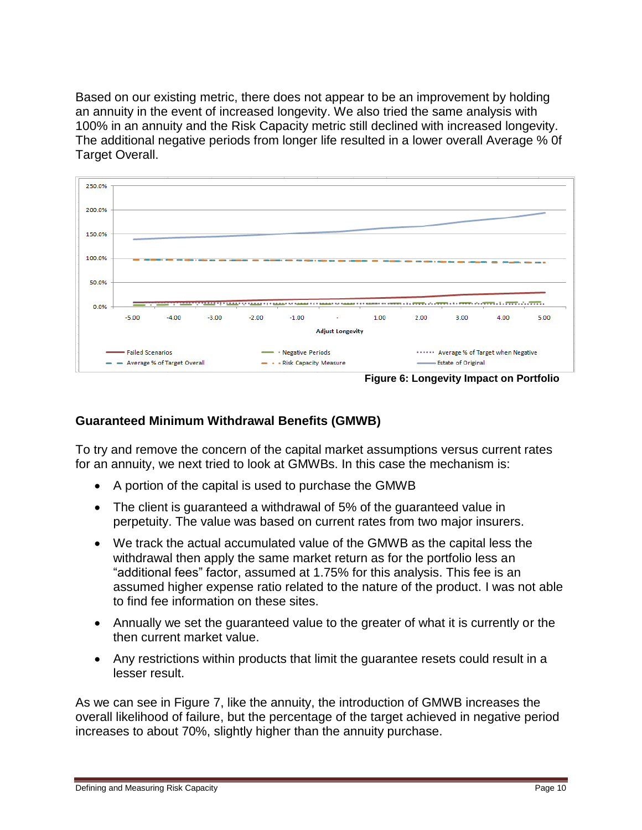Based on our existing metric, there does not appear to be an improvement by holding an annuity in the event of increased longevity. We also tried the same analysis with 100% in an annuity and the Risk Capacity metric still declined with increased longevity. The additional negative periods from longer life resulted in a lower overall Average % 0f Target Overall.



### **Guaranteed Minimum Withdrawal Benefits (GMWB)**

To try and remove the concern of the capital market assumptions versus current rates for an annuity, we next tried to look at GMWBs. In this case the mechanism is:

- A portion of the capital is used to purchase the GMWB
- The client is guaranteed a withdrawal of 5% of the guaranteed value in perpetuity. The value was based on current rates from two major insurers.
- We track the actual accumulated value of the GMWB as the capital less the withdrawal then apply the same market return as for the portfolio less an "additional fees" factor, assumed at 1.75% for this analysis. This fee is an assumed higher expense ratio related to the nature of the product. I was not able to find fee information on these sites.
- Annually we set the guaranteed value to the greater of what it is currently or the then current market value.
- Any restrictions within products that limit the guarantee resets could result in a lesser result.

As we can see in Figure 7, like the annuity, the introduction of GMWB increases the overall likelihood of failure, but the percentage of the target achieved in negative period increases to about 70%, slightly higher than the annuity purchase.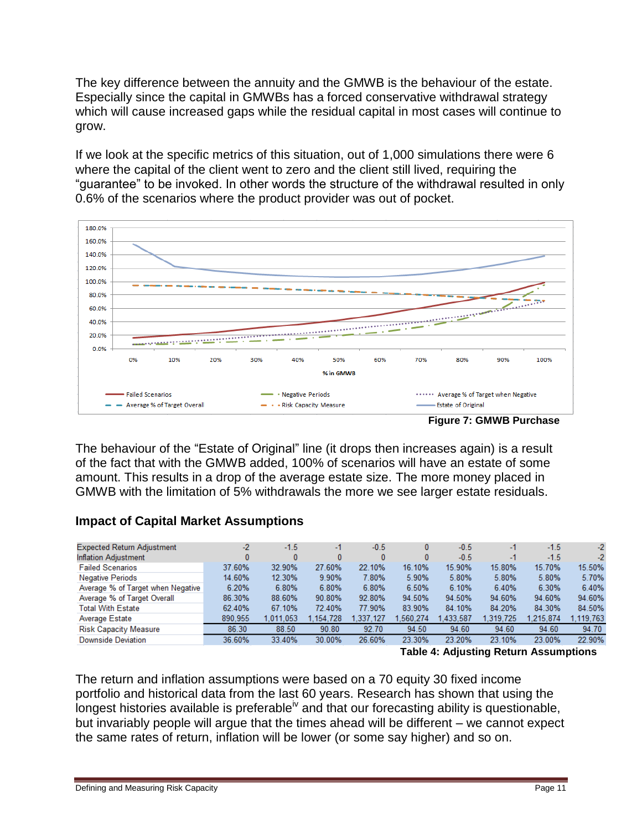The key difference between the annuity and the GMWB is the behaviour of the estate. Especially since the capital in GMWBs has a forced conservative withdrawal strategy which will cause increased gaps while the residual capital in most cases will continue to grow.

If we look at the specific metrics of this situation, out of 1,000 simulations there were 6 where the capital of the client went to zero and the client still lived, requiring the "guarantee" to be invoked. In other words the structure of the withdrawal resulted in only 0.6% of the scenarios where the product provider was out of pocket.



**Figure 7: GMWB Purchase**

The behaviour of the "Estate of Original" line (it drops then increases again) is a result of the fact that with the GMWB added, 100% of scenarios will have an estate of some amount. This results in a drop of the average estate size. The more money placed in GMWB with the limitation of 5% withdrawals the more we see larger estate residuals.

# **Impact of Capital Market Assumptions**

| <b>Expected Return Adjustment</b> | $-2$    | $-1.5$    | -1        | $-0.5$    | 0        | $-0.5$    | -1        | $-1.5$    | $-2$      |
|-----------------------------------|---------|-----------|-----------|-----------|----------|-----------|-----------|-----------|-----------|
| <b>Inflation Adjustment</b>       |         |           | 0         |           | 0        | $-0.5$    | -1        | $-1.5$    | $-2$      |
| <b>Failed Scenarios</b>           | 37.60%  | 32.90%    | 27.60%    | 22.10%    | 16.10%   | 15.90%    | 15.80%    | 15.70%    | 15.50%    |
| <b>Negative Periods</b>           | 14.60%  | 12.30%    | 9.90%     | 7.80%     | 5.90%    | 5.80%     | 5.80%     | 5.80%     | 5.70%     |
| Average % of Target when Negative | 6.20%   | 6.80%     | 6.80%     | 6.80%     | 6.50%    | 6.10%     | 6.40%     | 6.30%     | 6.40%     |
| Average % of Target Overall       | 86.30%  | 88.60%    | 90.80%    | 92.80%    | 94.50%   | 94.50%    | 94.60%    | 94.60%    | 94.60%    |
| <b>Total With Estate</b>          | 62.40%  | 67.10%    | 72.40%    | 77.90%    | 83.90%   | 84.10%    | 84.20%    | 84.30%    | 84.50%    |
| Average Estate                    | 890.955 | 1.011.053 | 1.154.728 | 1.337.127 | .560.274 | 1.433.587 | 1.319.725 | 1.215.874 | 1.119.763 |
| <b>Risk Capacity Measure</b>      | 86.30   | 88.50     | 90.80     | 92.70     | 94.50    | 94.60     | 94.60     | 94.60     | 94.70     |
| <b>Downside Deviation</b>         | 36.60%  | 33.40%    | 30.00%    | 26.60%    | 23.30%   | 23.20%    | 23.10%    | 23.00%    | 22.90%    |

**Table 4: Adjusting Return Assumptions**

The return and inflation assumptions were based on a 70 equity 30 fixed income portfolio and historical data from the last 60 years. Research has shown that using the longest histories available is preferable<sup>iv</sup> and that our forecasting ability is questionable, but invariably people will argue that the times ahead will be different – we cannot expect the same rates of return, inflation will be lower (or some say higher) and so on.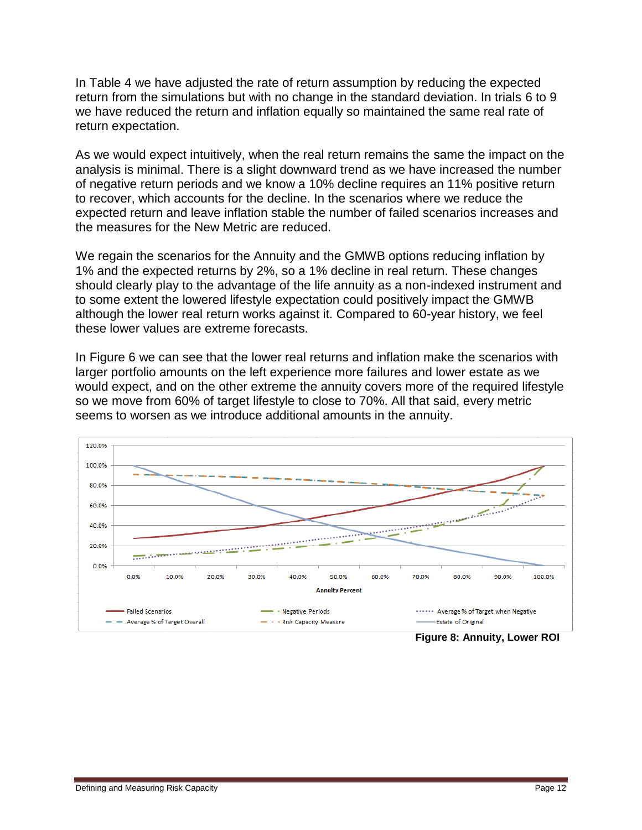In Table 4 we have adjusted the rate of return assumption by reducing the expected return from the simulations but with no change in the standard deviation. In trials 6 to 9 we have reduced the return and inflation equally so maintained the same real rate of return expectation.

As we would expect intuitively, when the real return remains the same the impact on the analysis is minimal. There is a slight downward trend as we have increased the number of negative return periods and we know a 10% decline requires an 11% positive return to recover, which accounts for the decline. In the scenarios where we reduce the expected return and leave inflation stable the number of failed scenarios increases and the measures for the New Metric are reduced.

We regain the scenarios for the Annuity and the GMWB options reducing inflation by 1% and the expected returns by 2%, so a 1% decline in real return. These changes should clearly play to the advantage of the life annuity as a non-indexed instrument and to some extent the lowered lifestyle expectation could positively impact the GMWB although the lower real return works against it. Compared to 60-year history, we feel these lower values are extreme forecasts.

In Figure 6 we can see that the lower real returns and inflation make the scenarios with larger portfolio amounts on the left experience more failures and lower estate as we would expect, and on the other extreme the annuity covers more of the required lifestyle so we move from 60% of target lifestyle to close to 70%. All that said, every metric seems to worsen as we introduce additional amounts in the annuity.

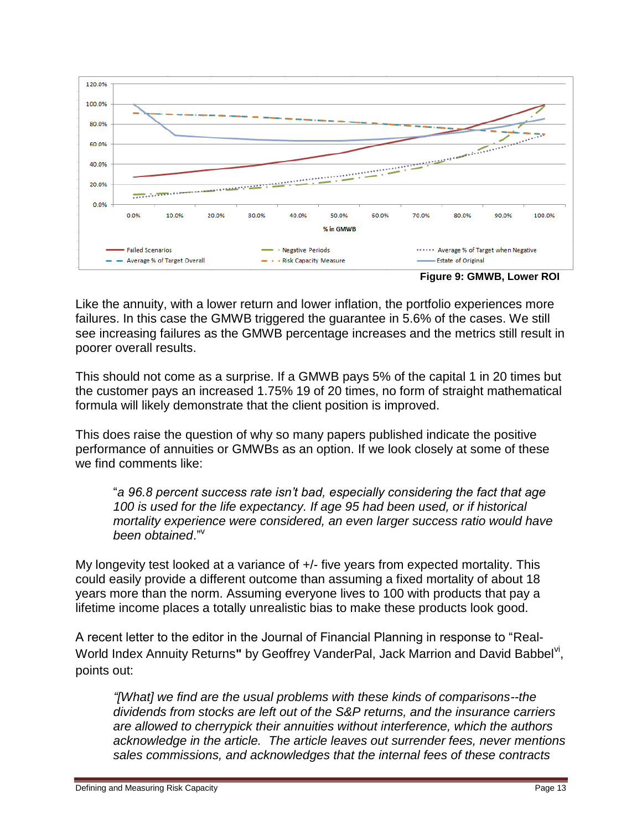

**Figure 9: GMWB, Lower ROI**

Like the annuity, with a lower return and lower inflation, the portfolio experiences more failures. In this case the GMWB triggered the guarantee in 5.6% of the cases. We still see increasing failures as the GMWB percentage increases and the metrics still result in poorer overall results.

This should not come as a surprise. If a GMWB pays 5% of the capital 1 in 20 times but the customer pays an increased 1.75% 19 of 20 times, no form of straight mathematical formula will likely demonstrate that the client position is improved.

This does raise the question of why so many papers published indicate the positive performance of annuities or GMWBs as an option. If we look closely at some of these we find comments like:

"*a 96.8 percent success rate isn"t bad, especially considering the fact that age 100 is used for the life expectancy. If age 95 had been used, or if historical mortality experience were considered, an even larger success ratio would have*  been obtained."<sup>v</sup>

My longevity test looked at a variance of +/- five years from expected mortality. This could easily provide a different outcome than assuming a fixed mortality of about 18 years more than the norm. Assuming everyone lives to 100 with products that pay a lifetime income places a totally unrealistic bias to make these products look good.

A recent letter to the editor in the Journal of Financial Planning in response to "Real-World Index Annuity Returns" by Geoffrey VanderPal, Jack Marrion and David Babbel<sup>vi</sup>, points out:

*"[What] we find are the usual problems with these kinds of comparisons--the dividends from stocks are left out of the S&P returns, and the insurance carriers are allowed to cherrypick their annuities without interference, which the authors acknowledge in the article. The article leaves out surrender fees, never mentions sales commissions, and acknowledges that the internal fees of these contracts*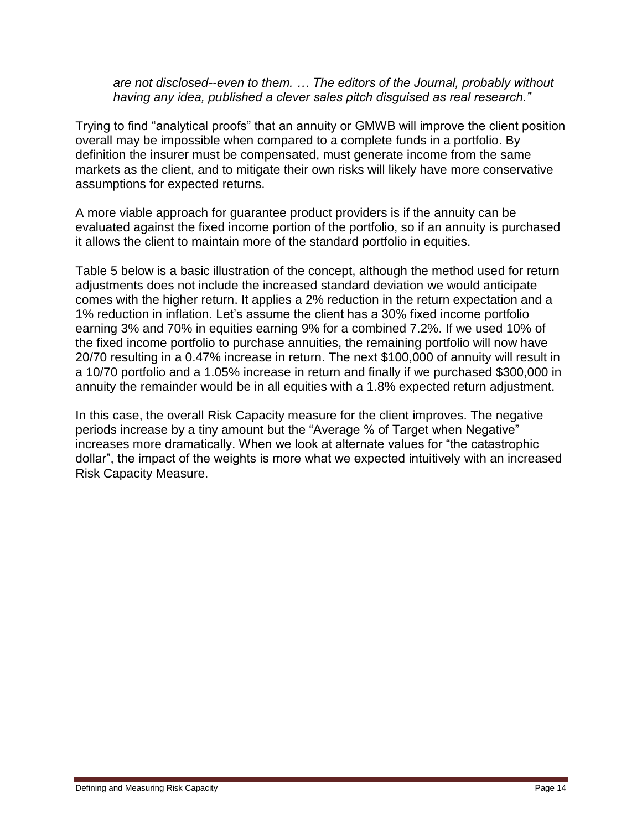*are not disclosed--even to them. … The editors of the Journal, probably without having any idea, published a clever sales pitch disguised as real research."*

Trying to find "analytical proofs" that an annuity or GMWB will improve the client position overall may be impossible when compared to a complete funds in a portfolio. By definition the insurer must be compensated, must generate income from the same markets as the client, and to mitigate their own risks will likely have more conservative assumptions for expected returns.

A more viable approach for guarantee product providers is if the annuity can be evaluated against the fixed income portion of the portfolio, so if an annuity is purchased it allows the client to maintain more of the standard portfolio in equities.

Table 5 below is a basic illustration of the concept, although the method used for return adjustments does not include the increased standard deviation we would anticipate comes with the higher return. It applies a 2% reduction in the return expectation and a 1% reduction in inflation. Let's assume the client has a 30% fixed income portfolio earning 3% and 70% in equities earning 9% for a combined 7.2%. If we used 10% of the fixed income portfolio to purchase annuities, the remaining portfolio will now have 20/70 resulting in a 0.47% increase in return. The next \$100,000 of annuity will result in a 10/70 portfolio and a 1.05% increase in return and finally if we purchased \$300,000 in annuity the remainder would be in all equities with a 1.8% expected return adjustment.

In this case, the overall Risk Capacity measure for the client improves. The negative periods increase by a tiny amount but the "Average % of Target when Negative" increases more dramatically. When we look at alternate values for "the catastrophic dollar", the impact of the weights is more what we expected intuitively with an increased Risk Capacity Measure.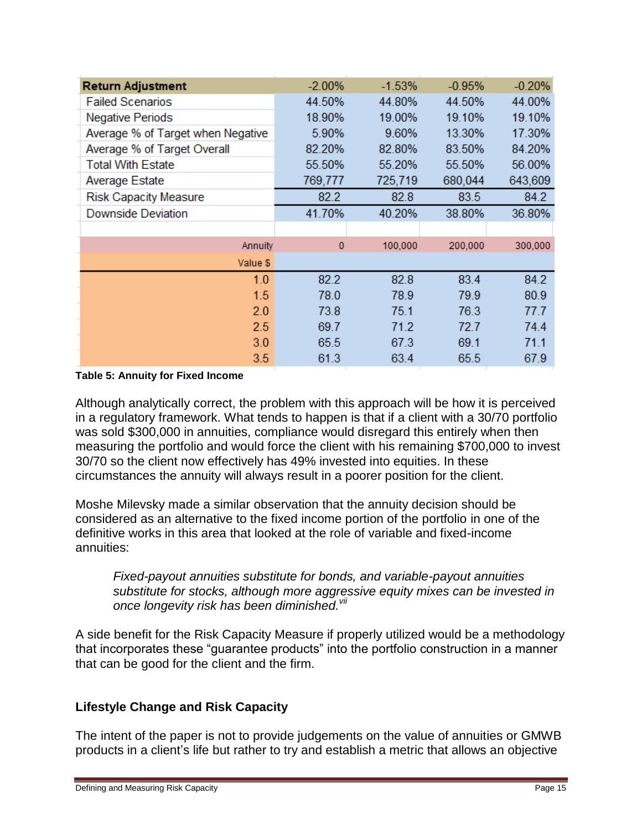| <b>Return Adjustment</b>          | $-2.00%$    | $-1.53%$ | $-0.95%$ | $-0.20%$ |
|-----------------------------------|-------------|----------|----------|----------|
| <b>Failed Scenarios</b>           | 44.50%      | 44.80%   | 44.50%   | 44.00%   |
| <b>Negative Periods</b>           | 18.90%      | 19.00%   | 19.10%   | 19.10%   |
| Average % of Target when Negative | 5.90%       | 9.60%    | 13.30%   | 17.30%   |
| Average % of Target Overall       | 82.20%      | 82.80%   | 83.50%   | 84.20%   |
| <b>Total With Estate</b>          | 55.50%      | 55.20%   | 55.50%   | 56.00%   |
| Average Estate                    | 769,777     | 725,719  | 680,044  | 643,609  |
| <b>Risk Capacity Measure</b>      | 82.2        | 82.8     | 83.5     | 84.2     |
| <b>Downside Deviation</b>         | 41.70%      | 40.20%   | 38.80%   | 36.80%   |
|                                   |             |          |          |          |
| Annuity                           | $\mathbf 0$ | 100,000  | 200,000  | 300,000  |
| Value \$                          |             |          |          |          |
| 1.0                               | 82.2        | 82.8     | 83.4     | 84.2     |
| 1.5                               | 78.0        | 78.9     | 79.9     | 80.9     |
| 2.0                               | 73.8        | 75.1     | 76.3     | 77.7     |
| 2.5                               | 69.7        | 71.2     | 72.7     | 74.4     |
| 3.0                               | 65.5        | 67.3     | 69.1     | 71.1     |
| 3.5                               | 61.3        | 63.4     | 65.5     | 67.9     |

#### **Table 5: Annuity for Fixed Income**

Although analytically correct, the problem with this approach will be how it is perceived in a regulatory framework. What tends to happen is that if a client with a 30/70 portfolio was sold \$300,000 in annuities, compliance would disregard this entirely when then measuring the portfolio and would force the client with his remaining \$700,000 to invest 30/70 so the client now effectively has 49% invested into equities. In these circumstances the annuity will always result in a poorer position for the client.

Moshe Milevsky made a similar observation that the annuity decision should be considered as an alternative to the fixed income portion of the portfolio in one of the definitive works in this area that looked at the role of variable and fixed-income annuities:

*Fixed-payout annuities substitute for bonds, and variable-payout annuities substitute for stocks, although more aggressive equity mixes can be invested in once longevity risk has been diminished.vii*

A side benefit for the Risk Capacity Measure if properly utilized would be a methodology that incorporates these "guarantee products" into the portfolio construction in a manner that can be good for the client and the firm.

### **Lifestyle Change and Risk Capacity**

The intent of the paper is not to provide judgements on the value of annuities or GMWB products in a client's life but rather to try and establish a metric that allows an objective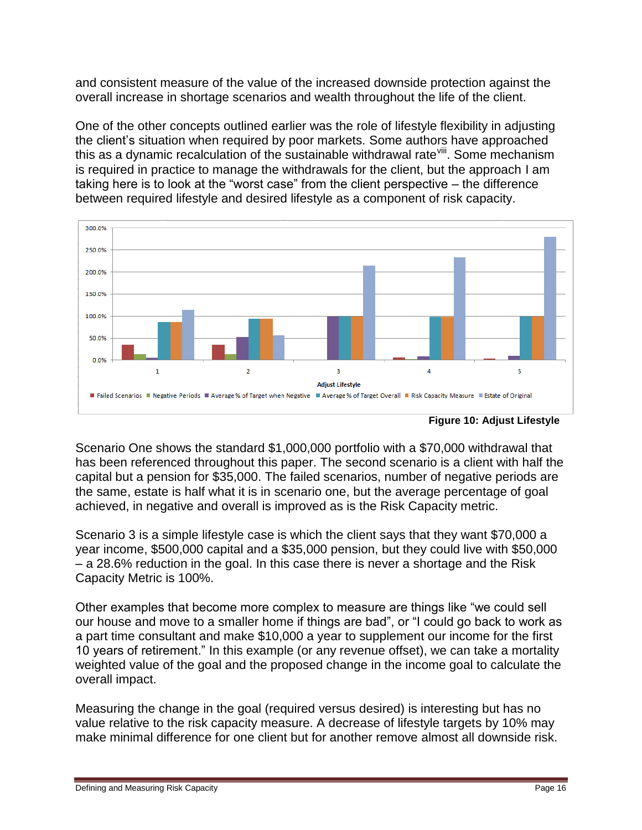and consistent measure of the value of the increased downside protection against the overall increase in shortage scenarios and wealth throughout the life of the client.

One of the other concepts outlined earlier was the role of lifestyle flexibility in adjusting the client's situation when required by poor markets. Some authors have approached this as a dynamic recalculation of the sustainable withdrawal rate<sup>viii</sup>. Some mechanism is required in practice to manage the withdrawals for the client, but the approach I am taking here is to look at the "worst case" from the client perspective – the difference between required lifestyle and desired lifestyle as a component of risk capacity.



**Figure 10: Adjust Lifestyle**

Scenario One shows the standard \$1,000,000 portfolio with a \$70,000 withdrawal that has been referenced throughout this paper. The second scenario is a client with half the capital but a pension for \$35,000. The failed scenarios, number of negative periods are the same, estate is half what it is in scenario one, but the average percentage of goal achieved, in negative and overall is improved as is the Risk Capacity metric.

Scenario 3 is a simple lifestyle case is which the client says that they want \$70,000 a year income, \$500,000 capital and a \$35,000 pension, but they could live with \$50,000 – a 28.6% reduction in the goal. In this case there is never a shortage and the Risk Capacity Metric is 100%.

Other examples that become more complex to measure are things like "we could sell our house and move to a smaller home if things are bad", or "I could go back to work as a part time consultant and make \$10,000 a year to supplement our income for the first 10 years of retirement." In this example (or any revenue offset), we can take a mortality weighted value of the goal and the proposed change in the income goal to calculate the overall impact.

Measuring the change in the goal (required versus desired) is interesting but has no value relative to the risk capacity measure. A decrease of lifestyle targets by 10% may make minimal difference for one client but for another remove almost all downside risk.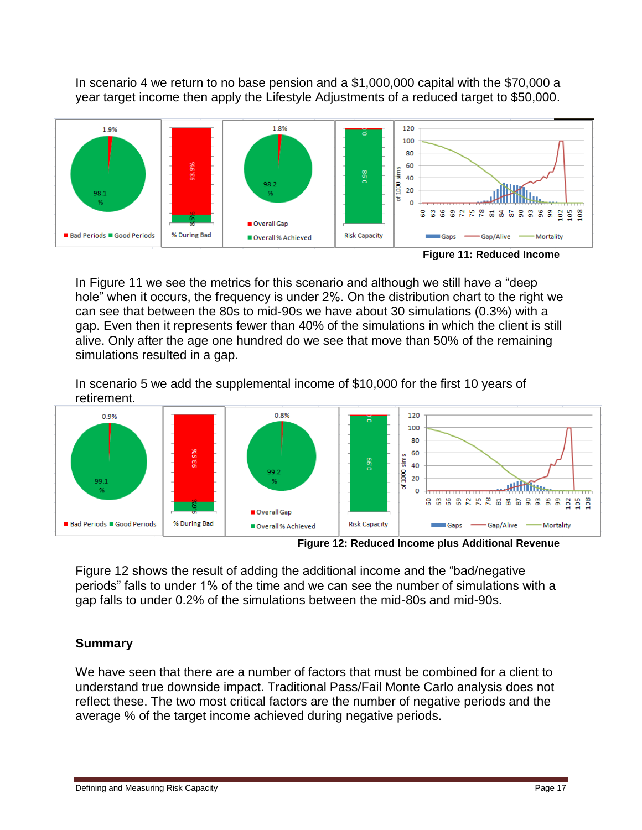In scenario 4 we return to no base pension and a \$1,000,000 capital with the \$70,000 a year target income then apply the Lifestyle Adjustments of a reduced target to \$50,000.



In Figure 11 we see the metrics for this scenario and although we still have a "deep hole" when it occurs, the frequency is under 2%. On the distribution chart to the right we can see that between the 80s to mid-90s we have about 30 simulations (0.3%) with a gap. Even then it represents fewer than 40% of the simulations in which the client is still alive. Only after the age one hundred do we see that move than 50% of the remaining simulations resulted in a gap.

In scenario 5 we add the supplemental income of \$10,000 for the first 10 years of retirement.



**Figure 12: Reduced Income plus Additional Revenue**

Figure 12 shows the result of adding the additional income and the "bad/negative periods" falls to under 1% of the time and we can see the number of simulations with a gap falls to under 0.2% of the simulations between the mid-80s and mid-90s.

# **Summary**

We have seen that there are a number of factors that must be combined for a client to understand true downside impact. Traditional Pass/Fail Monte Carlo analysis does not reflect these. The two most critical factors are the number of negative periods and the average % of the target income achieved during negative periods.